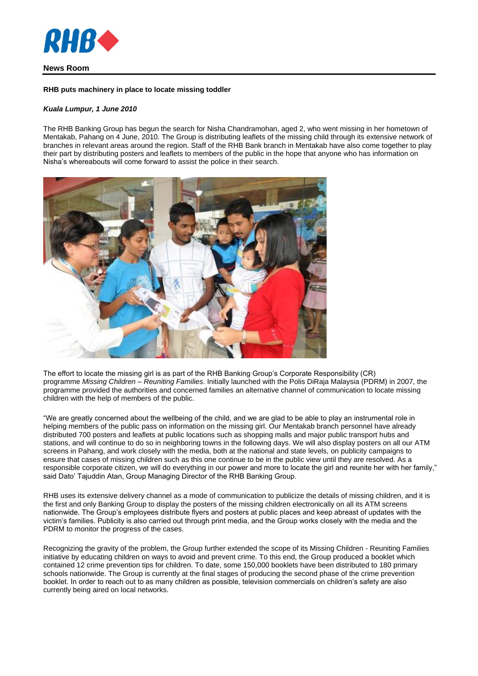

# **News Room**

### **RHB puts machinery in place to locate missing toddler**

## *Kuala Lumpur, 1 June 2010*

The RHB Banking Group has begun the search for Nisha Chandramohan, aged 2, who went missing in her hometown of Mentakab, Pahang on 4 June, 2010. The Group is distributing leaflets of the missing child through its extensive network of branches in relevant areas around the region. Staff of the RHB Bank branch in Mentakab have also come together to play their part by distributing posters and leaflets to members of the public in the hope that anyone who has information on Nisha's whereabouts will come forward to assist the police in their search.



The effort to locate the missing girl is as part of the RHB Banking Group's Corporate Responsibility (CR) programme *Missing Children – Reuniting Families*. Initially launched with the Polis DiRaja Malaysia (PDRM) in 2007, the programme provided the authorities and concerned families an alternative channel of communication to locate missing children with the help of members of the public.

"We are greatly concerned about the wellbeing of the child, and we are glad to be able to play an instrumental role in helping members of the public pass on information on the missing girl. Our Mentakab branch personnel have already distributed 700 posters and leaflets at public locations such as shopping malls and major public transport hubs and stations, and will continue to do so in neighboring towns in the following days. We will also display posters on all our ATM screens in Pahang, and work closely with the media, both at the national and state levels, on publicity campaigns to ensure that cases of missing children such as this one continue to be in the public view until they are resolved. As a responsible corporate citizen, we will do everything in our power and more to locate the girl and reunite her with her family," said Dato' Tajuddin Atan, Group Managing Director of the RHB Banking Group.

RHB uses its extensive delivery channel as a mode of communication to publicize the details of missing children, and it is the first and only Banking Group to display the posters of the missing children electronically on all its ATM screens nationwide. The Group's employees distribute flyers and posters at public places and keep abreast of updates with the victim's families. Publicity is also carried out through print media, and the Group works closely with the media and the PDRM to monitor the progress of the cases.

Recognizing the gravity of the problem, the Group further extended the scope of its Missing Children - Reuniting Families initiative by educating children on ways to avoid and prevent crime. To this end, the Group produced a booklet which contained 12 crime prevention tips for children. To date, some 150,000 booklets have been distributed to 180 primary schools nationwide. The Group is currently at the final stages of producing the second phase of the crime prevention booklet. In order to reach out to as many children as possible, television commercials on children's safety are also currently being aired on local networks.